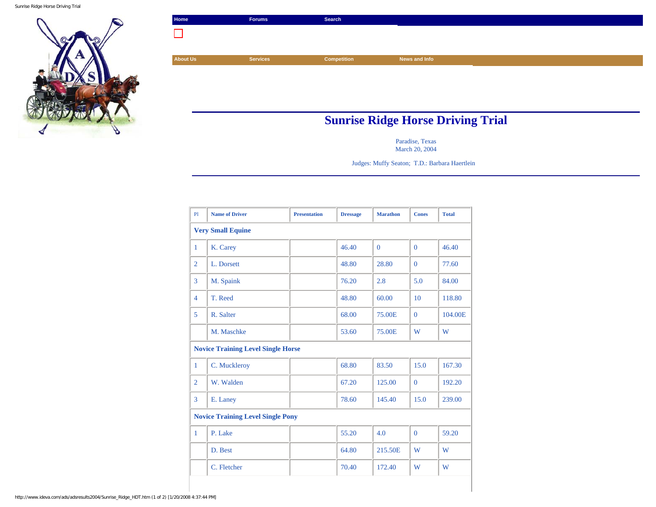Sunrise Ridge Horse Driving Trial



| Home            | <b>Forums</b>                            | Search             |               |  |  |  |
|-----------------|------------------------------------------|--------------------|---------------|--|--|--|
|                 |                                          |                    |               |  |  |  |
|                 |                                          |                    |               |  |  |  |
| <b>About Us</b> | <b>Services</b>                          | <b>Competition</b> | News and Info |  |  |  |
|                 |                                          |                    |               |  |  |  |
|                 |                                          |                    |               |  |  |  |
|                 |                                          |                    |               |  |  |  |
|                 |                                          |                    |               |  |  |  |
|                 | <b>Sunrise Ridge Horse Driving Trial</b> |                    |               |  |  |  |

Paradise, Texas March 20, 2004

Judges: Muffy Seaton; T.D.: Barbara Haertlein

| <b>Name of Driver</b>                     | <b>Presentation</b> | <b>Dressage</b> | <b>Marathon</b> | <b>Cones</b>   | <b>Total</b> |  |  |  |  |  |
|-------------------------------------------|---------------------|-----------------|-----------------|----------------|--------------|--|--|--|--|--|
| <b>Very Small Equine</b>                  |                     |                 |                 |                |              |  |  |  |  |  |
| K. Carey                                  |                     | 46.40           | $\Omega$        | $\Omega$       | 46.40        |  |  |  |  |  |
| L. Dorsett                                |                     | 48.80           | 28.80           | $\Omega$       | 77.60        |  |  |  |  |  |
| M. Spaink                                 |                     | 76.20           | 2.8             | 5.0            | 84.00        |  |  |  |  |  |
| T. Reed                                   |                     | 48.80           | 60.00           | 10             | 118.80       |  |  |  |  |  |
| R. Salter                                 |                     | 68.00           | 75.00E          | $\Omega$       | 104.00E      |  |  |  |  |  |
| M. Maschke                                |                     | 53.60           | 75.00E          | W              | W            |  |  |  |  |  |
| <b>Novice Training Level Single Horse</b> |                     |                 |                 |                |              |  |  |  |  |  |
| C. Muckleroy                              |                     | 68.80           | 83.50           | 15.0           | 167.30       |  |  |  |  |  |
| W. Walden                                 |                     | 67.20           | 125.00          | $\overline{0}$ | 192.20       |  |  |  |  |  |
| E. Laney                                  |                     | 78.60           | 145.40          | 15.0           | 239.00       |  |  |  |  |  |
| <b>Novice Training Level Single Pony</b>  |                     |                 |                 |                |              |  |  |  |  |  |
| P. Lake                                   |                     | 55.20           | 4.0             | $\Omega$       | 59.20        |  |  |  |  |  |
| D. Best                                   |                     | 64.80           | 215.50E         | W              | W            |  |  |  |  |  |
| C. Fletcher                               |                     | 70.40           | 172.40          | W              | W            |  |  |  |  |  |
|                                           |                     |                 |                 |                |              |  |  |  |  |  |

http://www.ideva.com/ads/adsresults2004/Sunrise\_Ridge\_HDT.htm (1 of 2) [1/20/2008 4:37:44 PM]